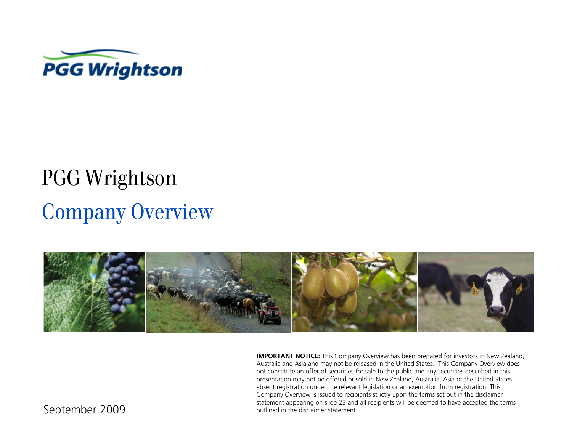

# Company Overview PGG Wrightson



**IMPORTANT NOTICE:** This Company Overview has been prepared for investors in New Zealand, Australia and Asia and may not be released in the United States. This Company Overview does not constitute an offer of securities for sale to the public and any securities described in this presentation may not be offered or sold in New Zealand, Australia, Asia or the United States absent registration under the relevant legislation or an exemption from registration. This Company Overview is issued to recipients strictly upon the terms set out in the disclaimer statement appearing on slide 23 and all recipients will be deemed to have accepted the terms outlined in the disclaimer statement.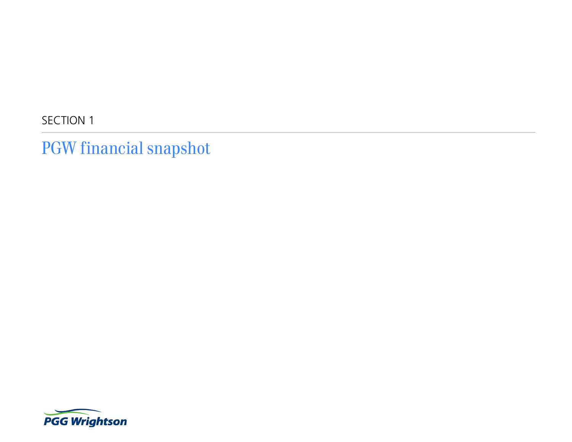SECTION 1

PGW financial snapshot

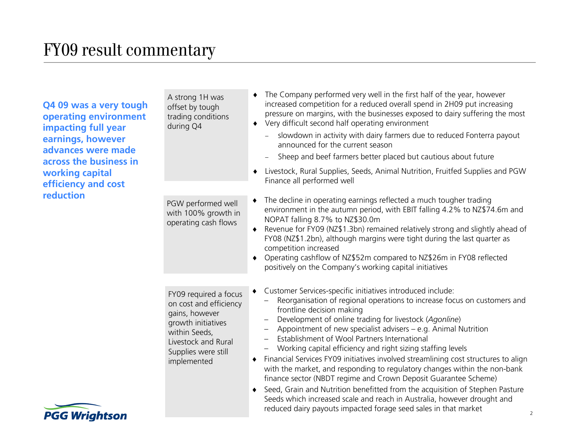**Q4 09 was a very tough operating environment impacting full year earnings, however advances were made across the business in working capital efficiency and cost reduction**

| A strong 1H was<br>offset by tough<br>trading conditions<br>during Q4                                                                                                 | The Company performed very well in the first half of the year, however<br>increased competition for a reduced overall spend in 2H09 put increasing<br>pressure on margins, with the businesses exposed to dairy suffering the most<br>Very difficult second half operating environment<br>٠<br>slowdown in activity with dairy farmers due to reduced Fonterra payout<br>announced for the current season                                                                                                                                                                                                                                                                                                                                                                                                                                                                                                                                |
|-----------------------------------------------------------------------------------------------------------------------------------------------------------------------|------------------------------------------------------------------------------------------------------------------------------------------------------------------------------------------------------------------------------------------------------------------------------------------------------------------------------------------------------------------------------------------------------------------------------------------------------------------------------------------------------------------------------------------------------------------------------------------------------------------------------------------------------------------------------------------------------------------------------------------------------------------------------------------------------------------------------------------------------------------------------------------------------------------------------------------|
|                                                                                                                                                                       | Sheep and beef farmers better placed but cautious about future                                                                                                                                                                                                                                                                                                                                                                                                                                                                                                                                                                                                                                                                                                                                                                                                                                                                           |
|                                                                                                                                                                       | Livestock, Rural Supplies, Seeds, Animal Nutrition, Fruitfed Supplies and PGW<br>٠<br>Finance all performed well                                                                                                                                                                                                                                                                                                                                                                                                                                                                                                                                                                                                                                                                                                                                                                                                                         |
| PGW performed well<br>with 100% growth in<br>operating cash flows                                                                                                     | The decline in operating earnings reflected a much tougher trading<br>environment in the autumn period, with EBIT falling 4.2% to NZ\$74.6m and<br>NOPAT falling 8.7% to NZ\$30.0m<br>Revenue for FY09 (NZ\$1.3bn) remained relatively strong and slightly ahead of<br>٠<br>FY08 (NZ\$1.2bn), although margins were tight during the last quarter as<br>competition increased<br>Operating cashflow of NZ\$52m compared to NZ\$26m in FY08 reflected<br>٠<br>positively on the Company's working capital initiatives                                                                                                                                                                                                                                                                                                                                                                                                                     |
| FY09 required a focus<br>on cost and efficiency<br>gains, however<br>growth initiatives<br>within Seeds,<br>Livestock and Rural<br>Supplies were still<br>implemented | Customer Services-specific initiatives introduced include:<br>Reorganisation of regional operations to increase focus on customers and<br>frontline decision making<br>Development of online trading for livestock (Agonline)<br>Appointment of new specialist advisers – e.g. Animal Nutrition<br>$\qquad \qquad -$<br>Establishment of Wool Partners International<br>$\overline{\phantom{0}}$<br>Working capital efficiency and right sizing staffing levels<br>Financial Services FY09 initiatives involved streamlining cost structures to align<br>with the market, and responding to regulatory changes within the non-bank<br>finance sector (NBDT regime and Crown Deposit Guarantee Scheme)<br>Seed, Grain and Nutrition benefitted from the acquisition of Stephen Pasture<br>٠<br>Seeds which increased scale and reach in Australia, however drought and<br>reduced dairy payouts impacted forage seed sales in that market |

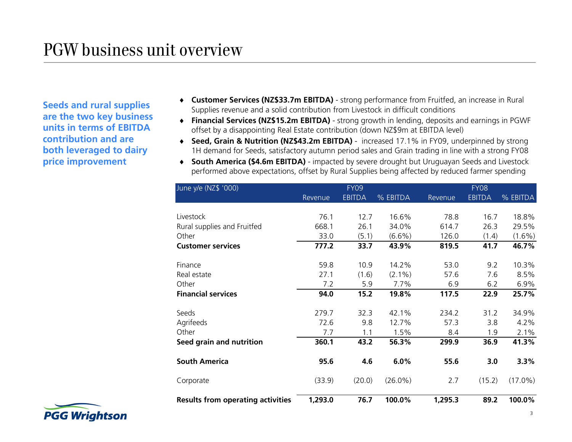**Seeds and rural supplies are the two key business units in terms of EBITDA contribution and are both leveraged to dairy price improvement**

- **Customer Services (NZ\$33.7m EBITDA)** strong performance from Fruitfed, an increase in Rural Supplies revenue and a solid contribution from Livestock in difficult conditions
- **Financial Services (NZ\$15.2m EBITDA)** strong growth in lending, deposits and earnings in PGWF offset by a disappointing Real Estate contribution (down NZ\$9m at EBITDA level)
- ◆ Seed, Grain & Nutrition (NZ\$43.2m EBITDA) increased 17.1% in FY09, underpinned by strong 1H demand for Seeds, satisfactory autumn period sales and Grain trading in line with a strong FY08
- **South America (\$4.6m EBITDA)** impacted by severe drought but Uruguayan Seeds and Livestock performed above expectations, offset by Rural Supplies being affected by reduced farmer spending

| June y/e (NZ\$ '000)                     |                | <b>FY09</b>   |            |         | <b>FY08</b>   |            |
|------------------------------------------|----------------|---------------|------------|---------|---------------|------------|
|                                          | <b>Revenue</b> | <b>EBITDA</b> | % EBITDA   | Revenue | <b>EBITDA</b> | % EBITDA   |
|                                          |                |               |            |         |               |            |
| Livestock                                | 76.1           | 12.7          | 16.6%      | 78.8    | 16.7          | 18.8%      |
| Rural supplies and Fruitfed              | 668.1          | 26.1          | 34.0%      | 614.7   | 26.3          | 29.5%      |
| Other                                    | 33.0           | (5.1)         | $(6.6\%)$  | 126.0   | (1.4)         | $(1.6\%)$  |
| <b>Customer services</b>                 | 777.2          | 33.7          | 43.9%      | 819.5   | 41.7          | 46.7%      |
|                                          |                |               |            |         |               |            |
| Finance                                  | 59.8           | 10.9          | 14.2%      | 53.0    | 9.2           | 10.3%      |
| Real estate                              | 27.1           | (1.6)         | $(2.1\%)$  | 57.6    | 7.6           | 8.5%       |
| Other                                    | 7.2            | 5.9           | 7.7%       | 6.9     | 6.2           | 6.9%       |
| <b>Financial services</b>                | 94.0           | 15.2          | 19.8%      | 117.5   | 22.9          | 25.7%      |
|                                          |                |               |            |         |               |            |
| Seeds                                    | 279.7          | 32.3          | 42.1%      | 234.2   | 31.2          | 34.9%      |
| Agrifeeds                                | 72.6           | 9.8           | 12.7%      | 57.3    | 3.8           | 4.2%       |
| Other                                    | 7.7            | 1.1           | 1.5%       | 8.4     | 1.9           | 2.1%       |
| Seed grain and nutrition                 | 360.1          | 43.2          | 56.3%      | 299.9   | 36.9          | 41.3%      |
|                                          |                |               |            |         |               |            |
| <b>South America</b>                     | 95.6           | 4.6           | 6.0%       | 55.6    | 3.0           | 3.3%       |
| Corporate                                | (33.9)         | (20.0)        | $(26.0\%)$ | 2.7     | (15.2)        | $(17.0\%)$ |
| <b>Results from operating activities</b> | 1,293.0        | 76.7          | 100.0%     | 1,295.3 | 89.2          | 100.0%     |

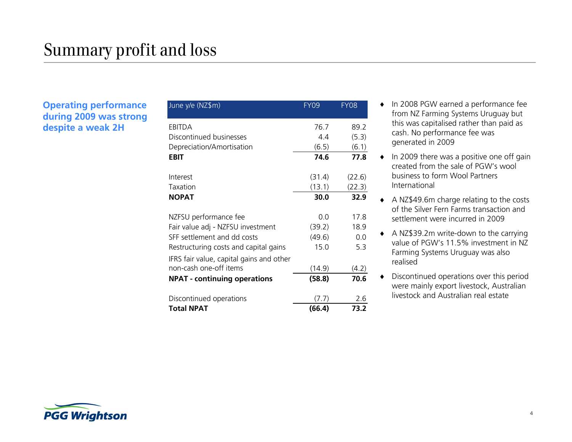#### **Operating performance during 2009 was strong despite a weak 2H**

| June y/e (NZ\$m)                         | FY09   | FY08   |
|------------------------------------------|--------|--------|
| EBITDA                                   | 76.7   | 89.2   |
| Discontinued businesses                  | 4.4    | (5.3)  |
| Depreciation/Amortisation                | (6.5)  | (6.1)  |
| EBIT                                     | 74.6   | 77.8   |
| Interest                                 | (31.4) | (22.6) |
| Taxation                                 | (13.1) | (22.3) |
| <b>NOPAT</b>                             | 30.0   | 32.9   |
| NZFSU performance fee                    | 0.0    | 17.8   |
| Fair value adj - NZFSU investment        | (39.2) | 18.9   |
| SFF settlement and dd costs              | (49.6) | 0.0    |
| Restructuring costs and capital gains    | 15.0   | 5.3    |
| IFRS fair value, capital gains and other |        |        |
| non-cash one-off items                   | (14.9) | (4.2)  |
| <b>NPAT - continuing operations</b>      | (58.8) | 70.6   |
| Discontinued operations                  | (7.7)  | 2.6    |
| <b>Total NPAT</b>                        | (66.4) | 73.2   |

- $\bullet$  In 2008 PGW earned a performance fee from NZ Farming Systems Uruguay but this was capitalised rather than paid as cash. No performance fee was generated in 2009
- $\bullet$  In 2009 there was a positive one off gain created from the sale of PGW's wool business to form Wool Partners International
- A NZ\$49.6m charge relating to the costs of the Silver Fern Farms transaction and settlement were incurred in 2009
- A NZ\$39.2m write-down to the carrying value of PGW's 11.5% investment in NZ Farming Systems Uruguay was also realised
- Discontinued operations over this period were mainly export livestock, Australian livestock and Australian real estate

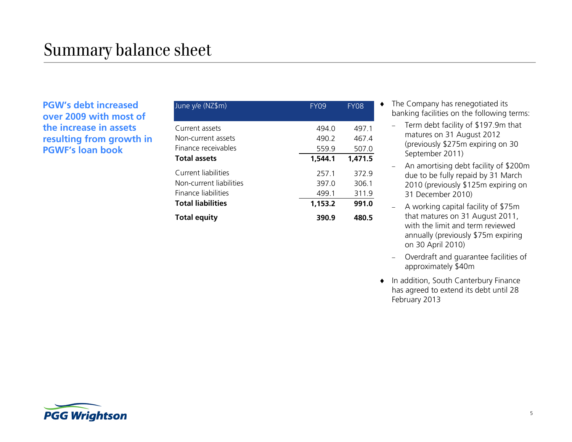**PGW's debt increased over 2009 with most of the increase in assets resulting from growth in PGWF's loan book**

| June y/e (NZ\$m)                                                      | <b>FY09</b>             | <b>FY08</b>             |
|-----------------------------------------------------------------------|-------------------------|-------------------------|
| Current assets<br>Non-current assets<br>Finance receivables           | 494.0<br>490.2<br>559.9 | 497.1<br>467.4<br>507.0 |
| <b>Total assets</b>                                                   | 1,544.1                 | 1,471.5                 |
| Current liabilities<br>Non-current liabilities<br>Finance liabilities | 257.1<br>397.0<br>499.1 | 372.9<br>306.1<br>311.9 |
| <b>Total liabilities</b>                                              | 1,153.2                 | 991.0                   |
| <b>Total equity</b>                                                   | 390.9                   | 480.5                   |

- ◆ The Company has renegotiated its banking facilities on the following terms:
	- Term debt facility of \$197.9m that matures on 31 August 2012 (previously \$275m expiring on 30 September 2011)
	- An amortising debt facility of \$200m due to be fully repaid by 31 March 2010 (previously \$125m expiring on 31 December 2010)
	- A working capital facility of \$75m that matures on 31 August 2011, with the limit and term reviewed annually (previously \$75m expiring on 30 April 2010)
	- Overdraft and guarantee facilities of approximately \$40m
- ◆ In addition, South Canterbury Finance has agreed to extend its debt until 28 February 2013

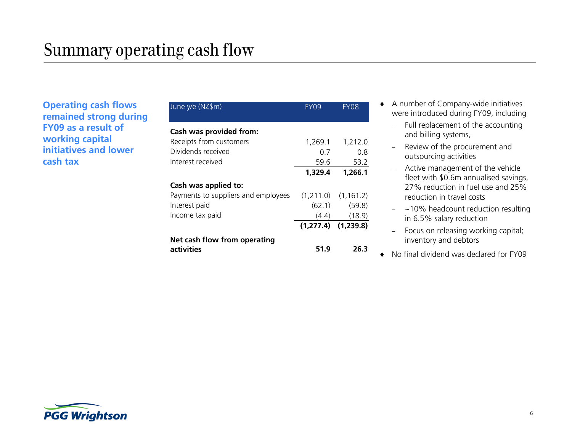**Operating cash flows remained strong during FY09 as a result of working capital initiatives and lower cash tax**

| June y/e (NZ\$m)                    | FY09    | <b>FY08</b>             |
|-------------------------------------|---------|-------------------------|
| Cash was provided from:             |         |                         |
| Receipts from customers             | 1,269.1 | 1,212.0                 |
| Dividends received                  | 0 7     | 0 8                     |
| Interest received                   | 59.6    | 53.2                    |
|                                     | 1,329.4 | 1,266.1                 |
| Cash was applied to:                |         |                         |
| Payments to suppliers and employees |         | $(1,211.0)$ $(1,161.2)$ |
| Interest paid                       | (62.1)  | (59.8)                  |
| Income tax paid                     | (4.4)   | (18.9)                  |
|                                     |         | $(1,277.4)$ $(1,239.8)$ |
| Net cash flow from operating        |         |                         |
| activities                          | 51.9    | 26.3                    |

- A number of Company-wide initiatives were introduced during FY09, including
	- Full replacement of the accounting and billing systems,
	- Review of the procurement and outsourcing activities
	- Active management of the vehicle fleet with \$0.6m annualised savings, 27% reduction in fuel use and 25% reduction in travel costs
	- ~10% headcount reduction resulting in 6.5% salary reduction
	- Focus on releasing working capital; inventory and debtors
- No final dividend was declared for FY09

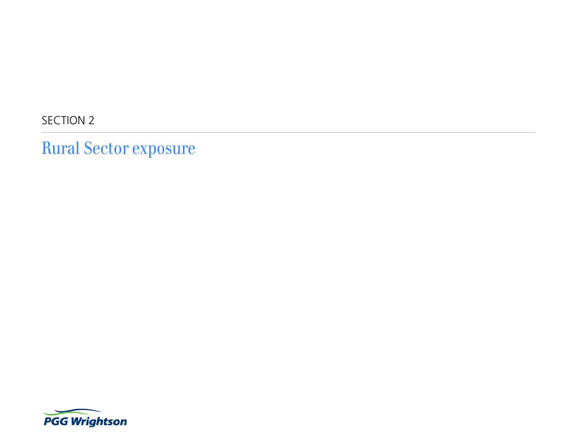SECTION 2

Rural Sector exposure

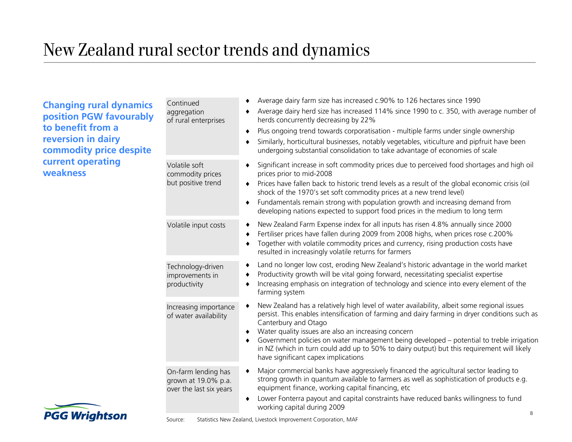### New Zealand rural sector trends and dynamics

**Changing rural dynamics position PGW favourably to benefit from a reversion in dairy commodity price despite current operating weakness**

|  | Continued<br>aggregation<br>of rural enterprises                      | Average dairy farm size has increased c.90% to 126 hectares since 1990<br>Average dairy herd size has increased 114% since 1990 to c. 350, with average number of<br>٠<br>herds concurrently decreasing by 22%<br>Plus ongoing trend towards corporatisation - multiple farms under single ownership<br>٠<br>Similarly, horticultural businesses, notably vegetables, viticulture and pipfruit have been<br>٠<br>undergoing substantial consolidation to take advantage of economies of scale                                       |
|--|-----------------------------------------------------------------------|-------------------------------------------------------------------------------------------------------------------------------------------------------------------------------------------------------------------------------------------------------------------------------------------------------------------------------------------------------------------------------------------------------------------------------------------------------------------------------------------------------------------------------------|
|  | Volatile soft<br>commodity prices<br>but positive trend               | Significant increase in soft commodity prices due to perceived food shortages and high oil<br>prices prior to mid-2008<br>Prices have fallen back to historic trend levels as a result of the global economic crisis (oil<br>٠<br>shock of the 1970's set soft commodity prices at a new trend level)<br>Fundamentals remain strong with population growth and increasing demand from<br>٠<br>developing nations expected to support food prices in the medium to long term                                                         |
|  | Volatile input costs                                                  | New Zealand Farm Expense index for all inputs has risen 4.8% annually since 2000<br>٠<br>Fertiliser prices have fallen during 2009 from 2008 highs, when prices rose c.200%<br>٠<br>Together with volatile commodity prices and currency, rising production costs have<br>$\bullet$<br>resulted in increasingly volatile returns for farmers                                                                                                                                                                                        |
|  | Technology-driven<br>improvements in<br>productivity                  | Land no longer low cost, eroding New Zealand's historic advantage in the world market<br>٠<br>Productivity growth will be vital going forward, necessitating specialist expertise<br>٠<br>Increasing emphasis on integration of technology and science into every element of the<br>٠<br>farming system                                                                                                                                                                                                                             |
|  | Increasing importance<br>of water availability                        | New Zealand has a relatively high level of water availability, albeit some regional issues<br>$\bullet$<br>persist. This enables intensification of farming and dairy farming in dryer conditions such as<br>Canterbury and Otago<br>Water quality issues are also an increasing concern<br>٠<br>Government policies on water management being developed - potential to treble irrigation<br>٠<br>in NZ (which in turn could add up to 50% to dairy output) but this requirement will likely<br>have significant capex implications |
|  | On-farm lending has<br>grown at 19.0% p.a.<br>over the last six years | Major commercial banks have aggressively financed the agricultural sector leading to<br>٠<br>strong growth in quantum available to farmers as well as sophistication of products e.g.<br>equipment finance, working capital financing, etc<br>Lower Fonterra payout and capital constraints have reduced banks willingness to fund<br>$\bullet$<br>working capital during 2009                                                                                                                                                      |
|  |                                                                       | $\bf 8$                                                                                                                                                                                                                                                                                                                                                                                                                                                                                                                             |

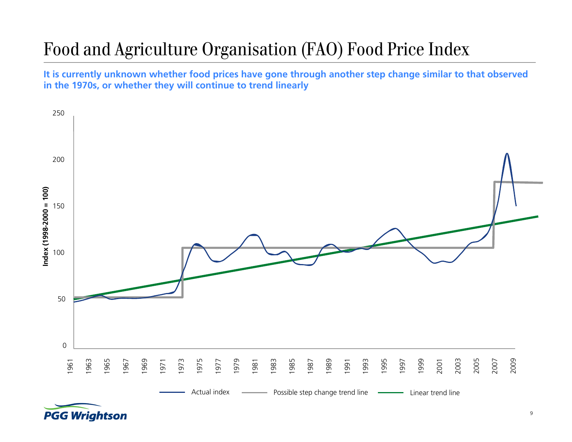## Food and Agriculture Organisation (FAO) Food Price Index

**It is currently unknown whether food prices have gone through another step change similar to that observed in the 1970s, or whether they will continue to trend linearly**



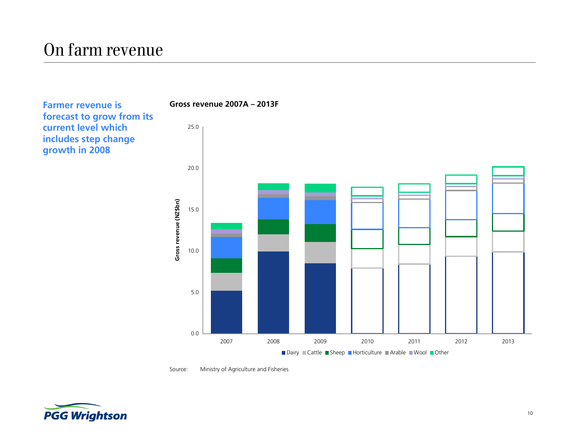### On farm revenue

**Farmer revenue is forecast to grow from its current level which includes step change growth in 2008**



Source: Ministry of Agriculture and Fisheries

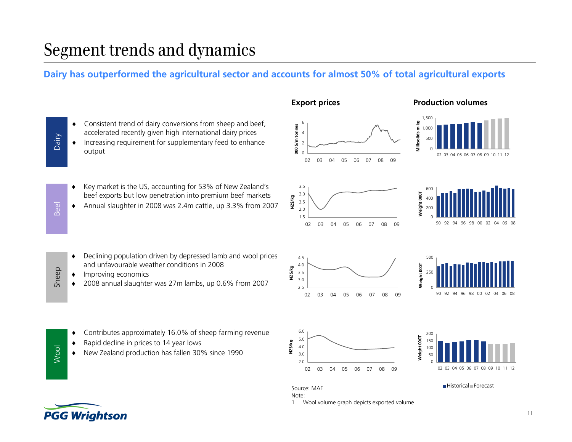### Segment trends and dynamics

### **Dairy has outperformed the agricultural sector and accounts for almost 50% of total agricultural exports**

| Consistent trend of dairy conversions from sheep and beef, |
|------------------------------------------------------------|
| accelerated recently given high international dairy prices |

 $\bullet$  Increasing requirement for supplementary feed to enhance output

 $\bullet$  Key market is the US, accounting for 53% of New Zealand's beef exports but low penetration into premium beef markets

 $\bullet$ Annual slaughter in 2008 was 2.4m cattle, up 3.3% from 2007



 $\blacklozenge$  Declining population driven by depressed lamb and wool prices and unfavourable weather conditions in 2008

- $\blacklozenge$ Improving economics
- $\blacklozenge$ 2008 annual slaughter was 27m lambs, up 0.6% from 2007
- 2.53.03.5 02 03 04 05 06 07 08 09**NZ\$/kg**





1 Wool volume graph depicts exported volume

Source: MAF

Note:



Historical Forecast

Wool

 $\blacklozenge$ 

 $\blacklozenge$ 

 $\blacklozenge$ 

Dairy

Beef

Sheep

New Zealand production has fallen 30% since 1990

Contributes approximately 16.0% of sheep farming revenue

Rapid decline in prices to 14 year lows

**PGG Wrightson**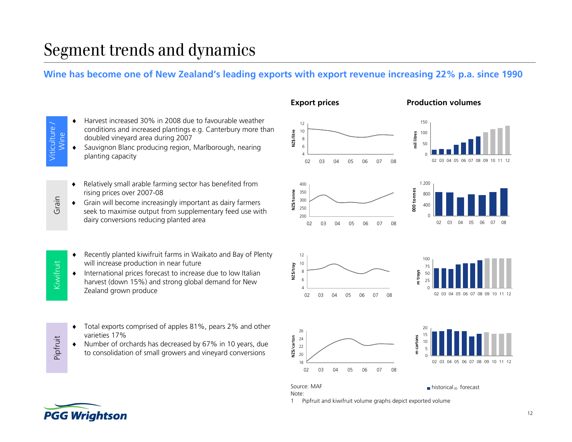### Segment trends and dynamics

#### **Wine has become one of New Zealand's leading exports with export revenue increasing 22% p.a. since 1990**

Viticulture / Viticulture Wine

Grain

Kiwifruit

Pipfruit

٠

- Harvest increased 30% in 2008 due to favourable weather conditions and increased plantings e.g. Canterbury more than doubled vineyard area during 2007
- $\bullet$  Sauvignon Blanc producing region, Marlborough, nearing planting capacity
- $\blacklozenge$  Relatively small arable farming sector has benefited from rising prices over 2007-08
- Grain will become increasingly important as dairy farmers seek to maximise output from supplementary feed use with dairy conversions reducing planted area
- $\blacklozenge$  Recently planted kiwifruit farms in Waikato and Bay of Plenty will increase production in near future
- ٠ International prices forecast to increase due to low Italian harvest (down 15%) and strong global demand for New Zealand grown produce
- $\bullet$  Total exports comprised of apples 81%, pears 2% and other varieties 17%
- Number of orchards has decreased by 67% in 10 years, due to consolidation of small growers and vineyard conversions





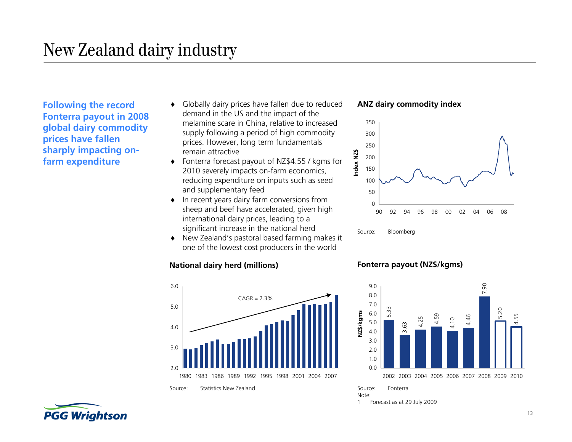**Following the record Fonterra payout in 2008 global dairy commodity prices have fallen sharply impacting onfarm expenditure**

- ٠ Globally dairy prices have fallen due to reduced demand in the US and the impact of the melamine scare in China, relative to increased supply following a period of high commodity prices. However, long term fundamentals remain attractive
- Fonterra forecast payout of NZ\$4.55 / kgms for 2010 severely impacts on-farm economics, reducing expenditure on inputs such as seed and supplementary feed
- $\bullet$  In recent years dairy farm conversions from sheep and beef have accelerated, given high international dairy prices, leading to a significant increase in the national herd
- New Zealand's pastoral based farming makes it one of the lowest cost producers in the world

#### **National dairy herd (millions) Fonterra payout (NZ\$/kgms)**



**ANZ dairy commodity index**





Note:1 Forecast as at 29 July 2009

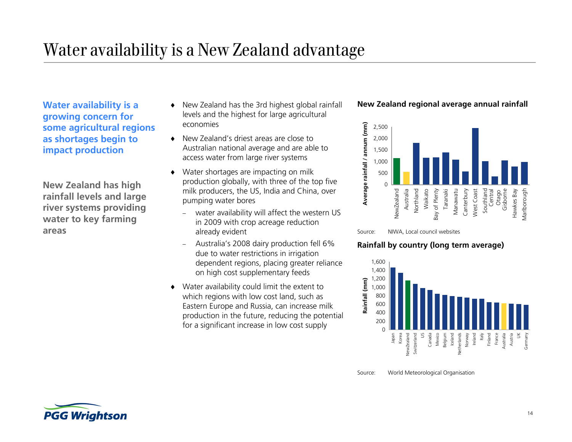### Water availability is a New Zealand advantage

**Water availability is a growing concern for some agricultural regions as shortages begin to impact production**

**New Zealand has high rainfall levels and large river systems providing water to key farming areas**

- $\bullet$  New Zealand has the 3rd highest global rainfall levels and the highest for large agricultural economies
- New Zealand's driest areas are close to Australian national average and are able to access water from large river systems
- $\bullet$  Water shortages are impacting on milk production globally, with three of the top five milk producers, the US, India and China, over pumping water bores
	- water availability will affect the western US in 2009 with crop acreage reduction already evident
	- Australia's 2008 dairy production fell 6% due to water restrictions in irrigation dependent regions, placing greater reliance on high cost supplementary feeds
- Water availability could limit the extent to which regions with low cost land, such as Eastern Europe and Russia, can increase milk production in the future, reducing the potential for a significant increase in low cost supply

#### **New Zealand regional average annual rainfall**





#### **Rainfall by country (long term average)**



Source: World Meteorological Organisation

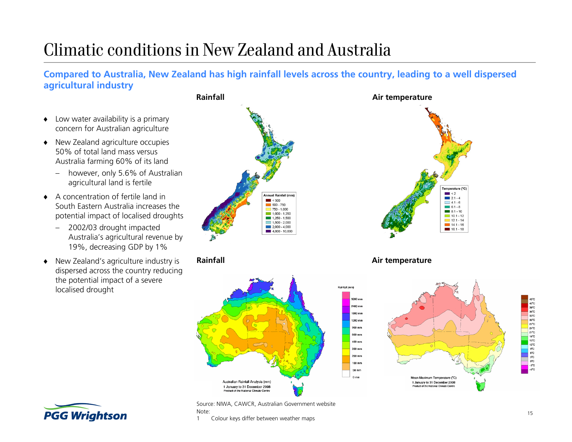### Climatic conditions in New Zealand and Australia

**Compared to Australia, New Zealand has high rainfall levels across the country, leading to a well dispersed agricultural industry**

- $\blacklozenge$  Low water availability is a primary concern for Australian agriculture
- ◆ New Zealand agriculture occupies 50% of total land mass versus Australia farming 60% of its land
	- however, only 5.6% of Australian agricultural land is fertile
- $\bullet$  A concentration of fertile land in South Eastern Australia increases the potential impact of localised droughts
	- – 2002/03 drought impacted Australia's agricultural revenue by 19%, decreasing GDP by 1%
- ٠ New Zealand's agriculture industry is dispersed across the country reducing the potential impact of a severe localised drought







**Rainfall Air temperature**





Source: NIWA, CAWCR, Australian Government website Note:

1 Colour keys differ between weather maps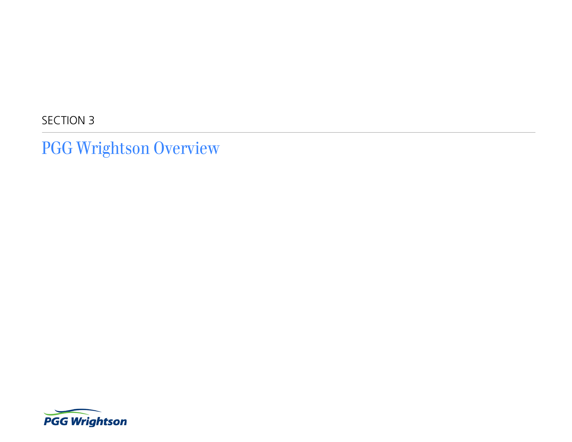SECTION 3

PGG Wrightson Overview

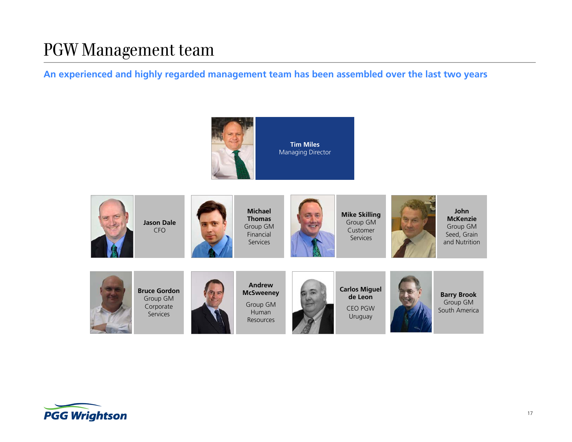### PGW Management team

**An experienced and highly regarded management team has been assembled over the last two years**





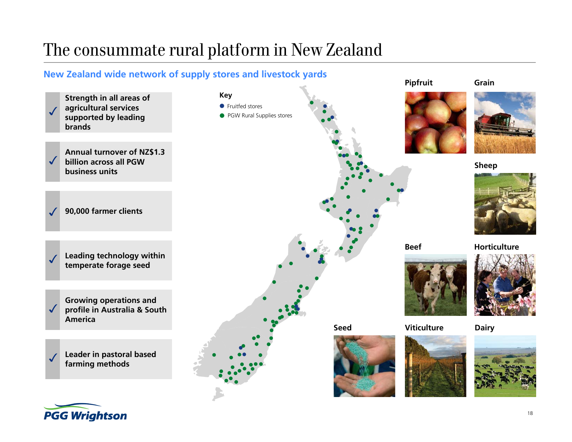### The consummate rural platform in New Zealand

### **New Zealand wide network of supply stores and livestock yards**



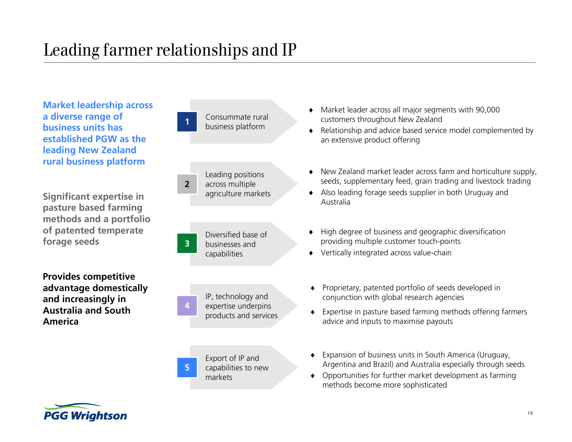### Leading farmer relationships and IP

**Market leadership across a diverse range of business units has established PGW as the leading New Zealand rural business platform**

**Significant expertise in pasture based farming methods and a portfolio of patented temperate forage seeds**

**Provides competitive advantage domestically and increasingly in Australia and South America**



- Market leader across all major segments with 90,000 customers throughout New Zealand
- Relationship and advice based service model complemented by an extensive product offering
- New Zealand market leader across farm and horticulture supply, seeds, supplementary feed, grain trading and livestock trading
- Also leading forage seeds supplier in both Uruguay and Australia
- $\bullet$  High degree of business and geographic diversification providing multiple customer touch-points
- Vertically integrated across value-chain
- Proprietary, patented portfolio of seeds developed in conjunction with global research agencies
- Expertise in pasture based farming methods offering farmers advice and inputs to maximise payouts
- $\bullet$  Expansion of business units in South America (Uruguay, Argentina and Brazil) and Australia especially through seeds
- Opportunities for further market development as farming methods become more sophisticated

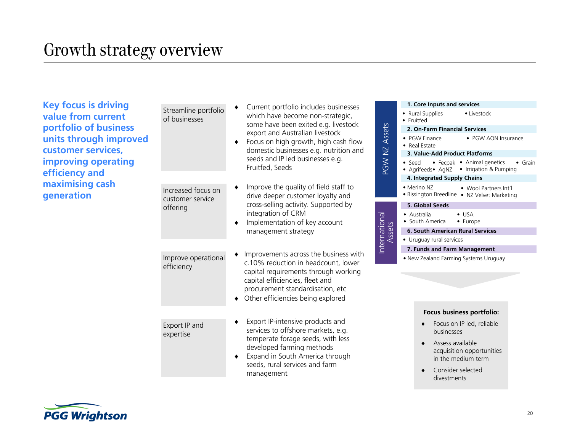**Key focus is driving value from current portfolio of business units through improved customer services, improving operating efficiency and maximising cash generation** 

|                                        | Current portfolio includes businesses                                      |                         | 1. Core Inputs and services                                                          |  |  |
|----------------------------------------|----------------------------------------------------------------------------|-------------------------|--------------------------------------------------------------------------------------|--|--|
| Streamline portfolio<br>of businesses  | which have become non-strategic,                                           |                         | • Rural Supplies<br>• Livestock<br>• Fruitfed                                        |  |  |
|                                        | some have been exited e.g. livestock<br>export and Australian livestock    |                         | 2. On-Farm Financial Services                                                        |  |  |
|                                        | Focus on high growth, high cash flow                                       | PGW NZ Assets           | • PGW Finance<br>• PGW AON Insurar<br>• Real Estate                                  |  |  |
|                                        | domestic businesses e.g. nutrition and                                     |                         | 3. Value-Add Product Platforms                                                       |  |  |
|                                        | seeds and IP led businesses e.g.<br>Fruitfed, Seeds                        |                         | • Fecpak • Animal genetics<br>• Seed<br>• Agrifeeds• AgNZ • Irrigation & Pumping     |  |  |
|                                        |                                                                            |                         | 4. Integrated Supply Chains                                                          |  |  |
| Increased focus on<br>customer service | Improve the quality of field staff to<br>drive deeper customer loyalty and |                         | • Merino NZ<br>• Wool Partners Int'l<br>. Rissington Breedline . NZ Velvet Marketing |  |  |
| offering                               | cross-selling activity. Supported by                                       |                         | 5. Global Seeds                                                                      |  |  |
|                                        | integration of CRM                                                         | International<br>Assets | • Australia<br>$\bullet$ USA                                                         |  |  |
|                                        | Implementation of key account<br>٠                                         |                         | • South America<br>• Europe                                                          |  |  |
|                                        | management strategy                                                        |                         | <b>6. South American Rural Services</b>                                              |  |  |
|                                        |                                                                            |                         | • Uruguay rural services                                                             |  |  |
|                                        | Improvements across the business with                                      |                         | 7. Funds and Farm Management                                                         |  |  |
| Improve operational<br>efficiency      | c.10% reduction in headcount, lower                                        |                         | . New Zealand Farming Systems Uruguay                                                |  |  |
|                                        | capital requirements through working                                       |                         |                                                                                      |  |  |
|                                        | capital efficiencies, fleet and                                            |                         |                                                                                      |  |  |
|                                        | procurement standardisation, etc                                           |                         |                                                                                      |  |  |
|                                        | Other efficiencies being explored                                          |                         |                                                                                      |  |  |
|                                        |                                                                            |                         | Focus business portfolio:                                                            |  |  |
| Export IP and<br>expertise             | Export IP-intensive products and<br>services to offshore markets, e.g.     |                         | Focus on IP led, reliable<br>businesses                                              |  |  |
|                                        | temperate forage seeds, with less<br>developed farming methods             |                         | Assess available<br>acquisition opportunities                                        |  |  |
|                                        | Expand in South America through<br>٠<br>seeds, rural services and farm     |                         | in the medium term                                                                   |  |  |
|                                        | management                                                                 |                         | Consider selected<br>divestments                                                     |  |  |



|  | I |
|--|---|

• PGW AON Insurance

• Grain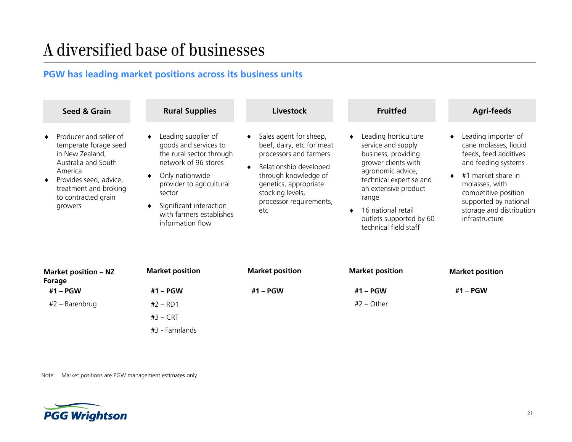### A diversified base of businesses

### **PGW has leading market positions across its business units**

| Seed & Grain                                                                                                                                                                              | <b>Rural Supplies</b>                                                                                                                                                                                                                | Livestock                                                                                                                                                                                                      | <b>Fruitfed</b>                                                                                                                                                                                                                                     | <b>Agri-feeds</b>                                                                                                                                                                                                                   |
|-------------------------------------------------------------------------------------------------------------------------------------------------------------------------------------------|--------------------------------------------------------------------------------------------------------------------------------------------------------------------------------------------------------------------------------------|----------------------------------------------------------------------------------------------------------------------------------------------------------------------------------------------------------------|-----------------------------------------------------------------------------------------------------------------------------------------------------------------------------------------------------------------------------------------------------|-------------------------------------------------------------------------------------------------------------------------------------------------------------------------------------------------------------------------------------|
| Producer and seller of<br>temperate forage seed<br>in New Zealand,<br>Australia and South<br>America<br>Provides seed, advice,<br>treatment and broking<br>to contracted grain<br>growers | Leading supplier of<br>goods and services to<br>the rural sector through<br>network of 96 stores<br>Only nationwide<br>provider to agricultural<br>sector<br>Significant interaction<br>with farmers establishes<br>information flow | Sales agent for sheep,<br>beef, dairy, etc for meat<br>processors and farmers<br>Relationship developed<br>through knowledge of<br>genetics, appropriate<br>stocking levels,<br>processor requirements,<br>etc | Leading horticulture<br>service and supply<br>business, providing<br>grower clients with<br>agronomic advice,<br>technical expertise and<br>an extensive product<br>range<br>16 national retail<br>outlets supported by 60<br>technical field staff | Leading importer of<br>cane molasses, liquid<br>feeds, feed additives<br>and feeding systems<br>#1 market share in<br>molasses, with<br>competitive position<br>supported by national<br>storage and distribution<br>infrastructure |

| <b>Market position - NZ</b><br>Forage | <b>Market position</b> | <b>Market position</b> | <b>Market position</b> | <b>Market position</b> |
|---------------------------------------|------------------------|------------------------|------------------------|------------------------|
| #1 – PGW                              | #1 – PGW               | #1 – PGW               | #1 – PGW               | #1 – PGW               |
| #2 – Barenbrug                        | $#2 - RD1$             |                        | $#2 - Other$           |                        |
|                                       | $#3 - CRT$             |                        |                        |                        |
|                                       | #3 - Farmlands         |                        |                        |                        |

Note: Market positions are PGW management estimates only

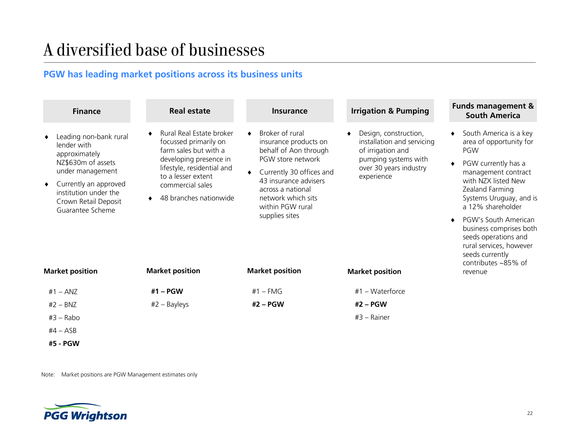### A diversified base of businesses

### **PGW has leading market positions across its business units**

|                | <b>Finance</b>                                                                                                                                                                                                           | <b>Real estate</b>                                                                                                                                                                                                               | <b>Insurance</b>                                                                                                                                                                                                                                       | <b>Irrigation &amp; Pumping</b>                                                                                                                                    | <b>Funds management &amp;</b><br><b>South America</b>                                                                                                                                                                                                                                                                                                                    |
|----------------|--------------------------------------------------------------------------------------------------------------------------------------------------------------------------------------------------------------------------|----------------------------------------------------------------------------------------------------------------------------------------------------------------------------------------------------------------------------------|--------------------------------------------------------------------------------------------------------------------------------------------------------------------------------------------------------------------------------------------------------|--------------------------------------------------------------------------------------------------------------------------------------------------------------------|--------------------------------------------------------------------------------------------------------------------------------------------------------------------------------------------------------------------------------------------------------------------------------------------------------------------------------------------------------------------------|
| ٠<br>$\bullet$ | Leading non-bank rural<br>lender with<br>approximately<br>NZ\$630m of assets<br>under management<br>Currently an approved<br>institution under the<br>Crown Retail Deposit<br>Guarantee Scheme<br><b>Market position</b> | Rural Real Estate broker<br>focussed primarily on<br>farm sales but with a<br>developing presence in<br>lifestyle, residential and<br>to a lesser extent<br>commercial sales<br>48 branches nationwide<br><b>Market position</b> | Broker of rural<br>insurance products on<br>behalf of Aon through<br>PGW store network<br>Currently 30 offices and<br>43 insurance advisers<br>across a national<br>network which sits<br>within PGW rural<br>supplies sites<br><b>Market position</b> | Design, construction,<br>installation and servicing<br>of irrigation and<br>pumping systems with<br>over 30 years industry<br>experience<br><b>Market position</b> | South America is a key<br>area of opportunity for<br>PGW<br>PGW currently has a<br>management contract<br>with NZX listed New<br>Zealand Farming<br>Systems Uruguay, and is<br>a 12% shareholder<br>PGW's South American<br>$\bullet$<br>business comprises both<br>seeds operations and<br>rural services, however<br>seeds currently<br>contributes ~85% of<br>revenue |
|                | $#1 - ANZ$<br>$#2 - BNZ$                                                                                                                                                                                                 | $#1 - PGW$<br>$#2 - Bayleys$                                                                                                                                                                                                     | $#1$ – FMG<br>#2 - PGW                                                                                                                                                                                                                                 | #1 - Waterforce<br>$#2 - PGW$                                                                                                                                      |                                                                                                                                                                                                                                                                                                                                                                          |
|                | $#3 - Rabo$                                                                                                                                                                                                              |                                                                                                                                                                                                                                  |                                                                                                                                                                                                                                                        | $#3 - Rainer$                                                                                                                                                      |                                                                                                                                                                                                                                                                                                                                                                          |
|                | $#4 - ASB$                                                                                                                                                                                                               |                                                                                                                                                                                                                                  |                                                                                                                                                                                                                                                        |                                                                                                                                                                    |                                                                                                                                                                                                                                                                                                                                                                          |
|                | #5 - PGW                                                                                                                                                                                                                 |                                                                                                                                                                                                                                  |                                                                                                                                                                                                                                                        |                                                                                                                                                                    |                                                                                                                                                                                                                                                                                                                                                                          |

Note: Market positions are PGW Management estimates only